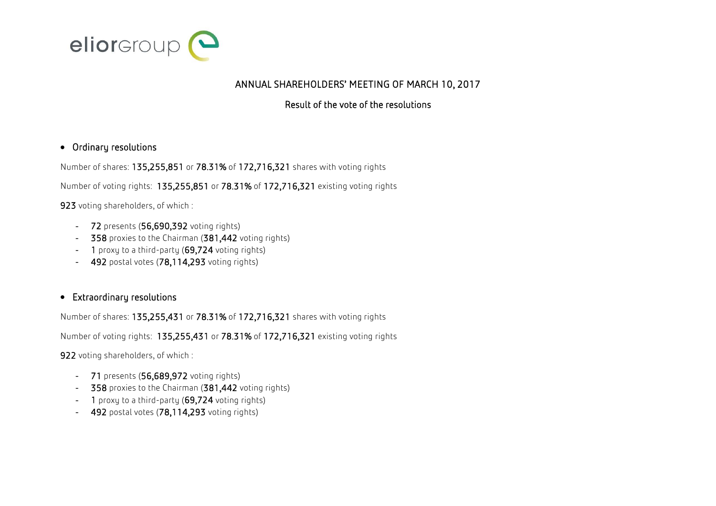

## ANNUAL SHAREHOLDERS' MEETING OF MARCH 10, 2017

## Result of the vote of the resolutions

## Ordinary resolutions

Number of shares: 135,255,851 or 78.31% of 172,716,321 shares with voting rights

Number of voting rights: 135,255,851 or 78.31% of 172,716,321 existing voting rights

923 voting shareholders, of which :

- 72 presents (56,690,392 voting rights)
- 358 proxies to the Chairman (381,442 voting rights)
- 1 proxy to a third-party (69,724 voting rights)
- 492 postal votes (78,114,293 voting rights)

## Extraordinary resolutions

Number of shares: 135,255,431 or 78.31% of 172,716,321 shares with voting rights

Number of voting rights: 135,255,431 or 78.31% of 172,716,321 existing voting rights

922 voting shareholders, of which :

- 71 presents (56,689,972 voting rights)
- 358 proxies to the Chairman (381,442 voting rights)
- 1 proxy to a third-party  $(69,724$  voting rights)
- 492 postal votes  $(78,114,293)$  voting rights)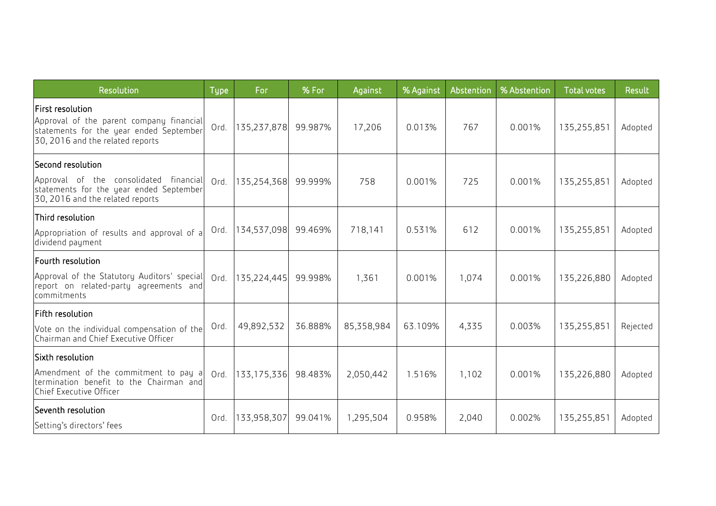| Resolution                                                                                                                                         | <b>Type</b> | For              | % For   | Against    | % Against | Abstention | % Abstention | <b>Total votes</b> | Result   |
|----------------------------------------------------------------------------------------------------------------------------------------------------|-------------|------------------|---------|------------|-----------|------------|--------------|--------------------|----------|
| <b>First resolution</b><br>Approval of the parent company financial<br>statements for the year ended September<br>30, 2016 and the related reports | Ord.        | 135,237,878      | 99.987% | 17,206     | 0.013%    | 767        | 0.001%       | 135,255,851        | Adopted  |
| Second resolution<br>Approval of the consolidated financial<br>statements for the year ended September<br>30, 2016 and the related reports         | Ord.        | 135,254,368      | 99.999% | 758        | 0.001%    | 725        | 0.001%       | 135,255,851        | Adopted  |
| Third resolution<br>Appropriation of results and approval of a<br>dividend payment                                                                 | Ord.        | 134,537,098      | 99.469% | 718,141    | 0.531%    | 612        | 0.001%       | 135,255,851        | Adopted  |
| Fourth resolution<br>Approval of the Statutory Auditors' special<br>report on related-party agreements and<br>commitments                          |             | Ord. 135,224,445 | 99.998% | 1,361      | 0.001%    | 1,074      | 0.001%       | 135,226,880        | Adopted  |
| Fifth resolution<br>Vote on the individual compensation of the<br>Chairman and Chief Executive Officer                                             | Ord.        | 49,892,532       | 36.888% | 85,358,984 | 63.109%   | 4,335      | 0.003%       | 135,255,851        | Rejected |
| Sixth resolution<br>Amendment of the commitment to pay a<br>termination benefit to the Chairman and<br>Chief Executive Officer                     |             | Ord. 133,175,336 | 98.483% | 2,050,442  | 1.516%    | 1,102      | 0.001%       | 135,226,880        | Adopted  |
| Seventh resolution<br>Setting's directors' fees                                                                                                    | Ord.        | 133,958,307      | 99.041% | 1,295,504  | 0.958%    | 2,040      | 0.002%       | 135,255,851        | Adopted  |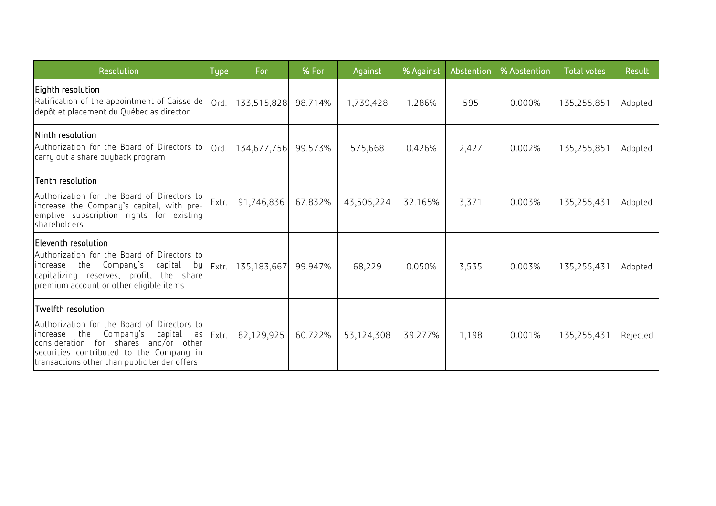| Resolution                                                                                                                                                                                                                                              | <b>Type</b> | For           | % For   | Against    | % Against | Abstention | % Abstention | <b>Total votes</b> | Result   |
|---------------------------------------------------------------------------------------------------------------------------------------------------------------------------------------------------------------------------------------------------------|-------------|---------------|---------|------------|-----------|------------|--------------|--------------------|----------|
| Eighth resolution<br>Ratification of the appointment of Caisse de<br>dépôt et placement du Québec as director                                                                                                                                           | Ord.        | 133,515,828   | 98.714% | 1,739,428  | 1.286%    | 595        | 0.000%       | 135,255,851        | Adopted  |
| Ninth resolution<br>Authorization for the Board of Directors to<br>carry out a share buyback program                                                                                                                                                    | Ord.        | 134,677,756   | 99.573% | 575,668    | 0.426%    | 2,427      | 0.002%       | 135,255,851        | Adopted  |
| Tenth resolution<br>Authorization for the Board of Directors to<br>increase the Company's capital, with pre-<br>emptive subscription rights for existing<br>shareholders                                                                                | Extr.       | 91,746,836    | 67.832% | 43,505,224 | 32.165%   | 3,371      | 0.003%       | 135,255,431        | Adopted  |
| Eleventh resolution<br>Authorization for the Board of Directors to<br>increase the Company's<br>capital<br>by<br>capitalizing reserves, profit, the share<br>premium account or other eligible items                                                    | Extr.       | 135, 183, 667 | 99.947% | 68,229     | 0.050%    | 3,535      | 0.003%       | 135,255,431        | Adopted  |
| Twelfth resolution<br>Authorization for the Board of Directors to<br>Company's<br>capital<br>increase<br>the<br>as<br>consideration for shares and/or other<br>securities contributed to the Company in<br>transactions other than public tender offers | Extr.       | 82,129,925    | 60.722% | 53,124,308 | 39.277%   | 1,198      | 0.001%       | 135,255,431        | Rejected |